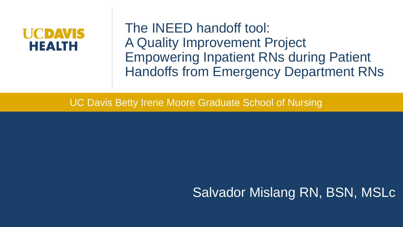# **HEALTH**

The INEED handoff tool: A Quality Improvement Project Empowering Inpatient RNs during Patient Handoffs from Emergency Department RNs

UC Davis Betty Irene Moore Graduate School of Nursing

#### Salvador Mislang RN, BSN, MSLc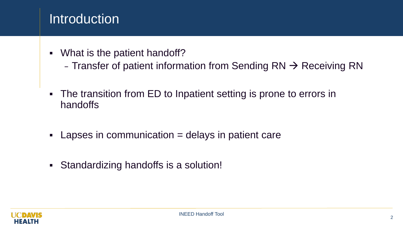#### **Introduction**

- What is the patient handoff?
	- Transfer of patient information from Sending  $RN \rightarrow Receiving RN$
- The transition from ED to Inpatient setting is prone to errors in handoffs
- $\blacksquare$  Lapses in communication  $=$  delays in patient care
- Standardizing handoffs is a solution!

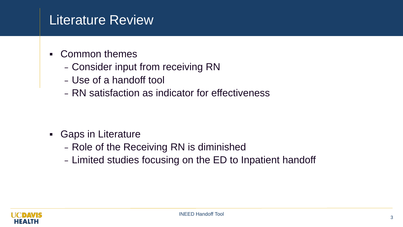#### Literature Review

- Common themes
	- Consider input from receiving RN
	- Use of a handoff tool
	- RN satisfaction as indicator for effectiveness

- **Gaps in Literature** 
	- Role of the Receiving RN is diminished
	- Limited studies focusing on the ED to Inpatient handoff

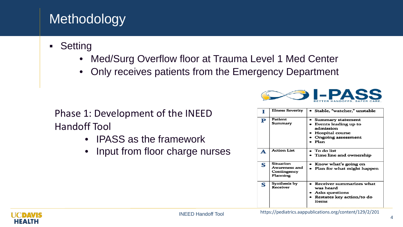## Methodology

- **-** Setting
	- Med/Surg Overflow floor at Trauma Level 1 Med Center
	- Only receives patients from the Emergency Department

Phase 1: Development of the INEED Handoff Tool

- IPASS as the framework
- Input from floor charge nurses



|   | <b>Illness Severity</b>                               | Stable, "watcher," unstable                                                                                    |
|---|-------------------------------------------------------|----------------------------------------------------------------------------------------------------------------|
| P | Patient<br>Summary                                    | Summary statement<br>Events leading up to<br>admission<br>Hospital course<br><b>Ongoing assessment</b><br>Plan |
| A | <b>Action List</b>                                    | To do list<br>• Time line and ownership                                                                        |
| S | Situation<br>Awareness and<br>Contingency<br>Planning | Know what's going on<br>• Plan for what might happen                                                           |
| S | Synthesis by<br>Receiver                              | Receiver summarizes what<br>was heard<br>Asks questions<br>Restates key action/to do<br>items                  |

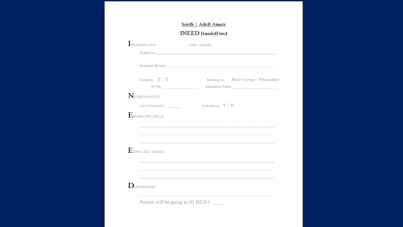#### South 1 Adult Annex

#### **INEED** Handoff tool

| NFORMATION       | Male / Female                                                                                                                                                                                                                  |
|------------------|--------------------------------------------------------------------------------------------------------------------------------------------------------------------------------------------------------------------------------|
|                  | Diagnosis New York and Separate and Separate and Separate and Separate and Separate and Separate and Separate and Separate and Separate and Separate and Separate and Separate and Separate and Separate and Separate and Sepa |
|                  |                                                                                                                                                                                                                                |
| Isolation $Y/N$  | Arriving in: Bed/ Gurney / Wheelchair                                                                                                                                                                                          |
|                  | Reporting Nurse                                                                                                                                                                                                                |
| NEURO STATUS     |                                                                                                                                                                                                                                |
| Alert/Oriented x | Ambulatory Y/N                                                                                                                                                                                                                 |
|                  | 사진 : 2000 - 2000 - 2000 - 2000 - 2000 - 2000 - 2000 - 2000 - 2000 - 2000 - 2000 - 2000 - 2000 - 2000 - 2000 - 2000 - 2000 - 2000 - 2000 - 2000 - 2000 - 2000 - 2000 - 2000 - 2000 - 2000 - 2000 - 2000 - 2000 - 2000 - 2000 -  |
| EXPECTED TASKS   |                                                                                                                                                                                                                                |
|                  |                                                                                                                                                                                                                                |
|                  |                                                                                                                                                                                                                                |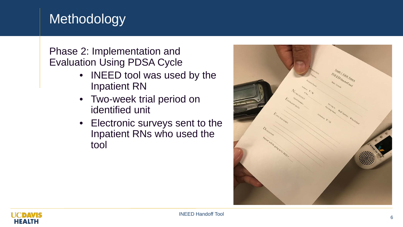#### Methodology

#### Phase 2: Implementation and Evaluation Using PDSA Cycle

- INEED tool was used by the Inpatient RN
- Two-week trial period on identified unit
- Electronic surveys sent to the Inpatient RNs who used the tool



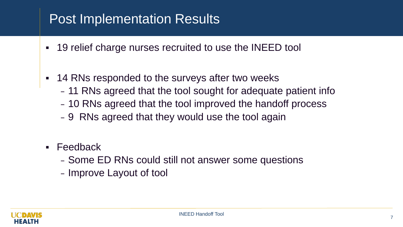#### Post Implementation Results

- 19 relief charge nurses recruited to use the INEED tool
- 14 RNs responded to the surveys after two weeks – 11 RNs agreed that the tool sought for adequate patient info – 10 RNs agreed that the tool improved the handoff process – 9 RNs agreed that they would use the tool again
- **Feedback** 
	- Some ED RNs could still not answer some questions
	- Improve Layout of tool

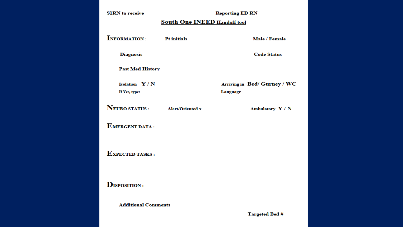| <b>SIRN</b> to receive                  | <b>Reporting ED RN</b> |                                          |  |  |  |
|-----------------------------------------|------------------------|------------------------------------------|--|--|--|
| <b>South One INEED Handoff tool</b>     |                        |                                          |  |  |  |
| <b>INFORMATION:</b>                     | <b>Pt initials</b>     | Male / Female                            |  |  |  |
| <b>Diagnosis</b>                        |                        | <b>Code Status</b>                       |  |  |  |
| <b>Past Med History</b>                 |                        |                                          |  |  |  |
| <b>Isolation</b> $Y/N$<br>If Yes, type: |                        | Arriving in Bed/ Gurney / WC<br>Language |  |  |  |
| NEURO STATUS : Alert/Oriented x         |                        | Ambulatory $Y/N$                         |  |  |  |
| <b>EMERGENT DATA:</b>                   |                        |                                          |  |  |  |
| <b>EXPECTED TASKS:</b>                  |                        |                                          |  |  |  |
| <b>DISPOSITION:</b>                     |                        |                                          |  |  |  |
| <b>Additional Comments</b>              |                        |                                          |  |  |  |

**Targeted Bed #**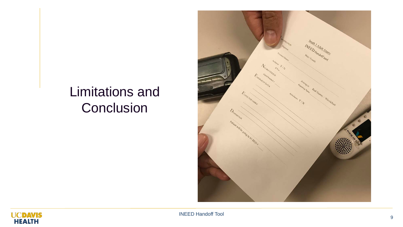### Limitations and **Conclusion**





<sup>9</sup> INEED Handoff Tool